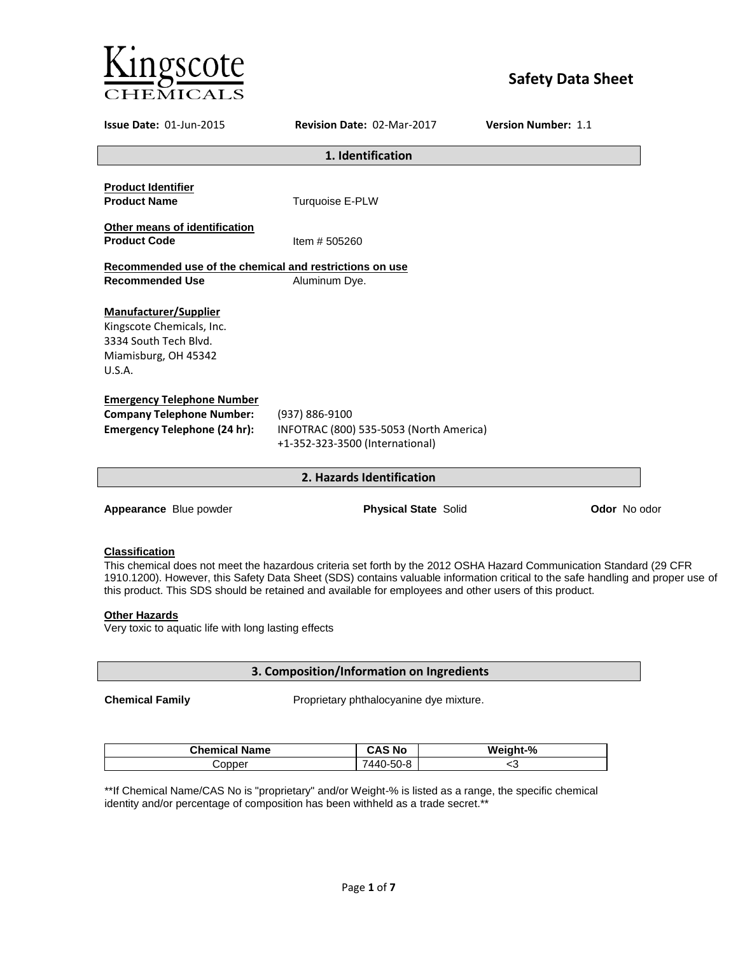

# **Safety Data Sheet**

| <b>Issue Date: 01-Jun-2015</b>                                                                                | <b>Revision Date: 02-Mar-2017</b>                                                            | <b>Version Number: 1.1</b> |  |  |  |
|---------------------------------------------------------------------------------------------------------------|----------------------------------------------------------------------------------------------|----------------------------|--|--|--|
|                                                                                                               | 1. Identification                                                                            |                            |  |  |  |
| <b>Product Identifier</b><br><b>Product Name</b>                                                              | Turquoise E-PLW                                                                              |                            |  |  |  |
| Other means of identification<br><b>Product Code</b>                                                          | Item # 505260                                                                                |                            |  |  |  |
| Recommended use of the chemical and restrictions on use<br><b>Recommended Use</b>                             | Aluminum Dye.                                                                                |                            |  |  |  |
| Manufacturer/Supplier<br>Kingscote Chemicals, Inc.<br>3334 South Tech Blvd.<br>Miamisburg, OH 45342<br>U.S.A. |                                                                                              |                            |  |  |  |
| <b>Emergency Telephone Number</b><br><b>Company Telephone Number:</b><br><b>Emergency Telephone (24 hr):</b>  | (937) 886-9100<br>INFOTRAC (800) 535-5053 (North America)<br>+1-352-323-3500 (International) |                            |  |  |  |
|                                                                                                               | 2. Hazards Identification                                                                    |                            |  |  |  |
| Appearance Blue powder                                                                                        | <b>Physical State Solid</b>                                                                  | <b>Odor</b> No odor        |  |  |  |

## **Classification**

This chemical does not meet the hazardous criteria set forth by the 2012 OSHA Hazard Communication Standard (29 CFR 1910.1200). However, this Safety Data Sheet (SDS) contains valuable information critical to the safe handling and proper use of this product. This SDS should be retained and available for employees and other users of this product.

## **Other Hazards**

Very toxic to aquatic life with long lasting effects

**3. Composition/Information on Ingredients**

**Chemical Family <b>Chemical Family Proprietary phthalocyanine dye mixture.** 

| <b>Chemical Name</b> | CAS No   | Weight-% |
|----------------------|----------|----------|
| opperذ               | 440-50-8 | ∼~       |

\*\*If Chemical Name/CAS No is "proprietary" and/or Weight-% is listed as a range, the specific chemical identity and/or percentage of composition has been withheld as a trade secret.\*\*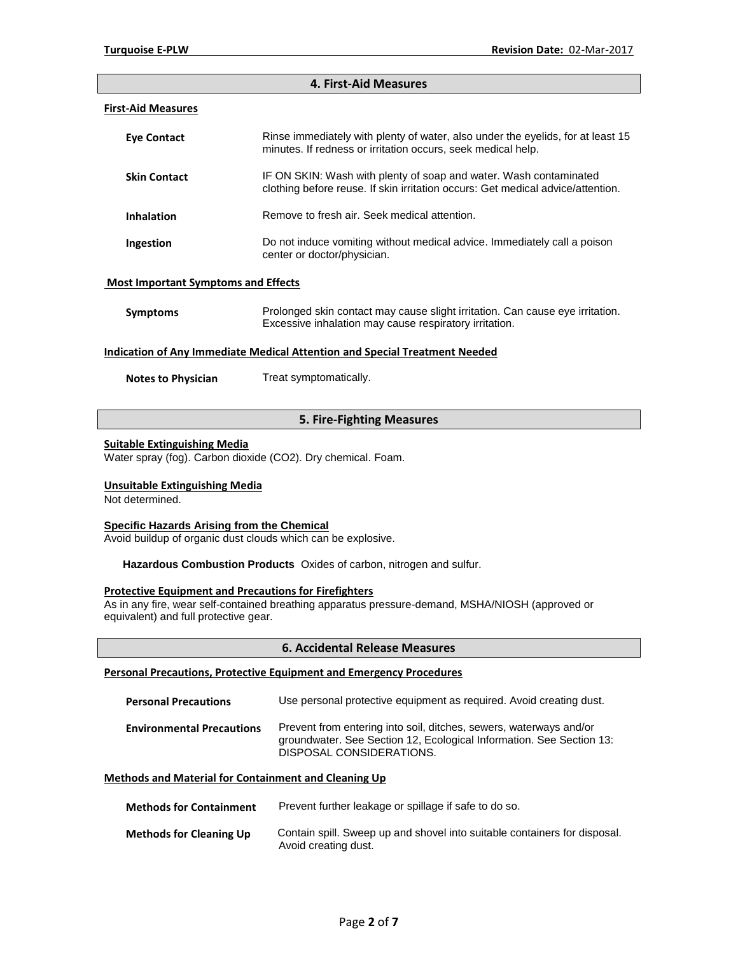#### **4. First-Aid Measures**

## **First-Aid Measures**

| Eye Contact                                | Rinse immediately with plenty of water, also under the eyelids, for at least 15<br>minutes. If redness or irritation occurs, seek medical help.      |
|--------------------------------------------|------------------------------------------------------------------------------------------------------------------------------------------------------|
| <b>Skin Contact</b>                        | IF ON SKIN: Wash with plenty of soap and water. Wash contaminated<br>clothing before reuse. If skin irritation occurs: Get medical advice/attention. |
| <b>Inhalation</b>                          | Remove to fresh air. Seek medical attention.                                                                                                         |
| Ingestion                                  | Do not induce vomiting without medical advice. Immediately call a poison<br>center or doctor/physician.                                              |
| <b>Most Important Symptoms and Effects</b> |                                                                                                                                                      |

# **Symptoms** Prolonged skin contact may cause slight irritation. Can cause eye irritation. Excessive inhalation may cause respiratory irritation.

#### **Indication of Any Immediate Medical Attention and Special Treatment Needed**

**Notes to Physician** Treat symptomatically.

## **5. Fire-Fighting Measures**

#### **Suitable Extinguishing Media**

Water spray (fog). Carbon dioxide (CO2). Dry chemical. Foam.

#### **Unsuitable Extinguishing Media**

Not determined.

## **Specific Hazards Arising from the Chemical**

Avoid buildup of organic dust clouds which can be explosive.

**Hazardous Combustion Products** Oxides of carbon, nitrogen and sulfur.

## **Protective Equipment and Precautions for Firefighters**

As in any fire, wear self-contained breathing apparatus pressure-demand, MSHA/NIOSH (approved or equivalent) and full protective gear.

## **6. Accidental Release Measures**

## **Personal Precautions, Protective Equipment and Emergency Procedures**

| <b>Personal Precautions</b>      | Use personal protective equipment as required. Avoid creating dust.                                                                                                    |
|----------------------------------|------------------------------------------------------------------------------------------------------------------------------------------------------------------------|
| <b>Environmental Precautions</b> | Prevent from entering into soil, ditches, sewers, waterways and/or<br>groundwater. See Section 12, Ecological Information. See Section 13:<br>DISPOSAL CONSIDERATIONS. |

## **Methods and Material for Containment and Cleaning Up**

| <b>Methods for Containment</b> | Prevent further leakage or spillage if safe to do so.                                             |
|--------------------------------|---------------------------------------------------------------------------------------------------|
| <b>Methods for Cleaning Up</b> | Contain spill. Sweep up and shovel into suitable containers for disposal.<br>Avoid creating dust. |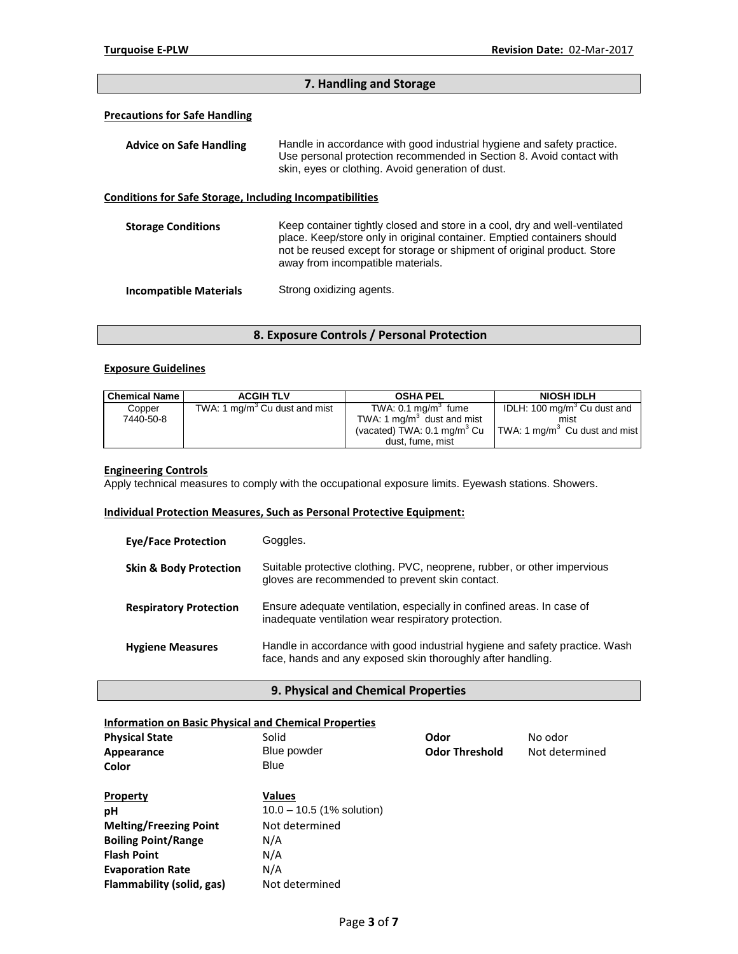## **7. Handling and Storage**

## **Precautions for Safe Handling**

| <b>Advice on Safe Handling</b>                                  | Handle in accordance with good industrial hygiene and safety practice.<br>Use personal protection recommended in Section 8. Avoid contact with<br>skin, eyes or clothing. Avoid generation of dust.                                                                   |
|-----------------------------------------------------------------|-----------------------------------------------------------------------------------------------------------------------------------------------------------------------------------------------------------------------------------------------------------------------|
| <b>Conditions for Safe Storage, Including Incompatibilities</b> |                                                                                                                                                                                                                                                                       |
| <b>Storage Conditions</b>                                       | Keep container tightly closed and store in a cool, dry and well-ventilated<br>place. Keep/store only in original container. Emptied containers should<br>not be reused except for storage or shipment of original product. Store<br>away from incompatible materials. |
| <b>Incompatible Materials</b>                                   | Strong oxidizing agents.                                                                                                                                                                                                                                              |

**8. Exposure Controls / Personal Protection**

## **Exposure Guidelines**

| <b>Chemical Name</b> | <b>ACGIH TLV</b>                          | <b>OSHA PEL</b>                                                                                                              | <b>NIOSH IDLH</b>                                                                            |
|----------------------|-------------------------------------------|------------------------------------------------------------------------------------------------------------------------------|----------------------------------------------------------------------------------------------|
| Copper<br>7440-50-8  | TWA: 1 mg/m <sup>3</sup> Cu dust and mist | TWA: $0.1 \text{ mg/m}^3$ fume<br>TWA: 1 $mq/m3$ dust and mist<br>(vacated) TWA: $0.1 \text{ mg/m}^3$ Cu<br>dust, fume, mist | IDLH: 100 mg/m <sup>3</sup> Cu dust and<br>mist<br>TWA: 1 mg/m <sup>3</sup> Cu dust and mist |

## **Engineering Controls**

Apply technical measures to comply with the occupational exposure limits. Eyewash stations. Showers.

## **Individual Protection Measures, Such as Personal Protective Equipment:**

| <b>Eve/Face Protection</b>        | Goggles.                                                                                                                                   |
|-----------------------------------|--------------------------------------------------------------------------------------------------------------------------------------------|
| <b>Skin &amp; Body Protection</b> | Suitable protective clothing. PVC, neoprene, rubber, or other impervious<br>gloves are recommended to prevent skin contact.                |
| <b>Respiratory Protection</b>     | Ensure adequate ventilation, especially in confined areas. In case of<br>inadequate ventilation wear respiratory protection.               |
| <b>Hygiene Measures</b>           | Handle in accordance with good industrial hygiene and safety practice. Wash<br>face, hands and any exposed skin thoroughly after handling. |

## **9. Physical and Chemical Properties**

| <b>Information on Basic Physical and Chemical Properties</b> |                             |                       |                |
|--------------------------------------------------------------|-----------------------------|-----------------------|----------------|
| <b>Physical State</b>                                        | Solid                       | Odor                  | No odor        |
| Appearance                                                   | Blue powder                 | <b>Odor Threshold</b> | Not determined |
| Color                                                        | Blue                        |                       |                |
| <b>Property</b>                                              | <b>Values</b>               |                       |                |
| рH                                                           | $10.0 - 10.5$ (1% solution) |                       |                |
| <b>Melting/Freezing Point</b>                                | Not determined              |                       |                |
| <b>Boiling Point/Range</b>                                   | N/A                         |                       |                |
| <b>Flash Point</b>                                           | N/A                         |                       |                |
| <b>Evaporation Rate</b>                                      | N/A                         |                       |                |
| Flammability (solid, gas)                                    | Not determined              |                       |                |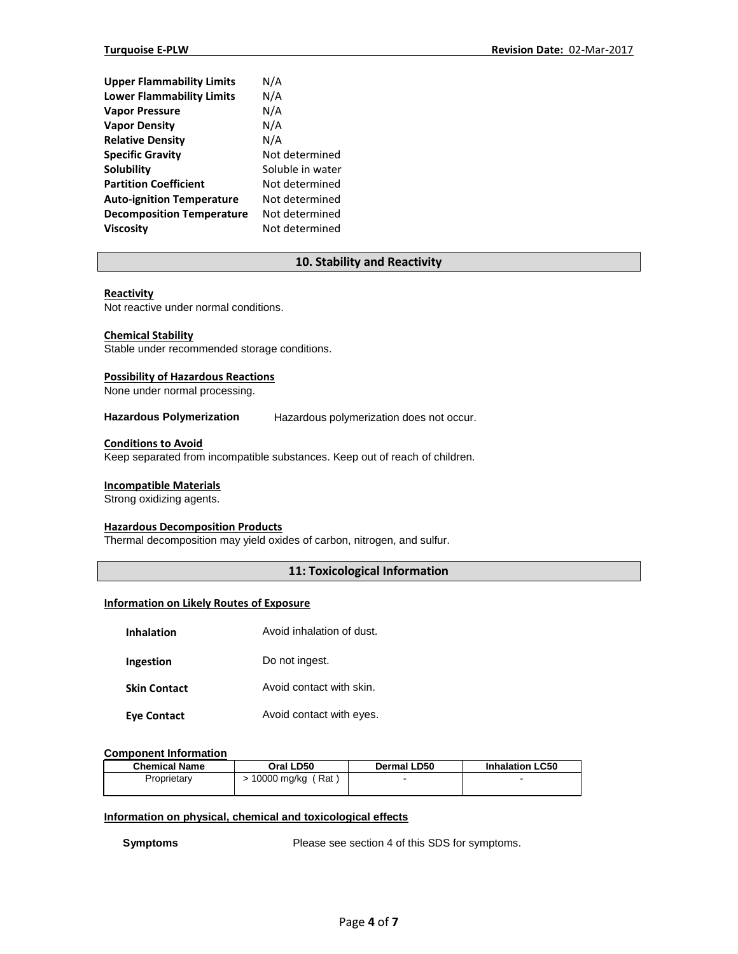| <b>Upper Flammability Limits</b> | N/A              |
|----------------------------------|------------------|
| <b>Lower Flammability Limits</b> | N/A              |
| <b>Vapor Pressure</b>            | N/A              |
| <b>Vapor Density</b>             | N/A              |
| <b>Relative Density</b>          | N/A              |
| <b>Specific Gravity</b>          | Not determined   |
| Solubility                       | Soluble in water |
| <b>Partition Coefficient</b>     | Not determined   |
| <b>Auto-ignition Temperature</b> | Not determined   |
| <b>Decomposition Temperature</b> | Not determined   |
| <b>Viscosity</b>                 | Not determined   |

## **10. Stability and Reactivity**

## **Reactivity**

Not reactive under normal conditions.

### **Chemical Stability**

Stable under recommended storage conditions.

## **Possibility of Hazardous Reactions**

None under normal processing.

**Hazardous Polymerization** Hazardous polymerization does not occur.

## **Conditions to Avoid**

Keep separated from incompatible substances. Keep out of reach of children.

#### **Incompatible Materials**

Strong oxidizing agents.

# **Hazardous Decomposition Products**

Thermal decomposition may yield oxides of carbon, nitrogen, and sulfur.

## **11: Toxicological Information**

#### **Information on Likely Routes of Exposure**

| <b>Inhalation</b>   | Avoid inhalation of dust. |
|---------------------|---------------------------|
| Ingestion           | Do not ingest.            |
| <b>Skin Contact</b> | Avoid contact with skin.  |
| Eye Contact         | Avoid contact with eyes.  |

## **Component Information**

| <b>Chemical Name</b> | Oral LD50            | Dermal LD50 | <b>Inhalation LC50</b> |
|----------------------|----------------------|-------------|------------------------|
| Proprietarv          | (Rat)<br>10000 mg/kg | -           | -                      |

## **Information on physical, chemical and toxicological effects**

**Symptoms** Please see section 4 of this SDS for symptoms.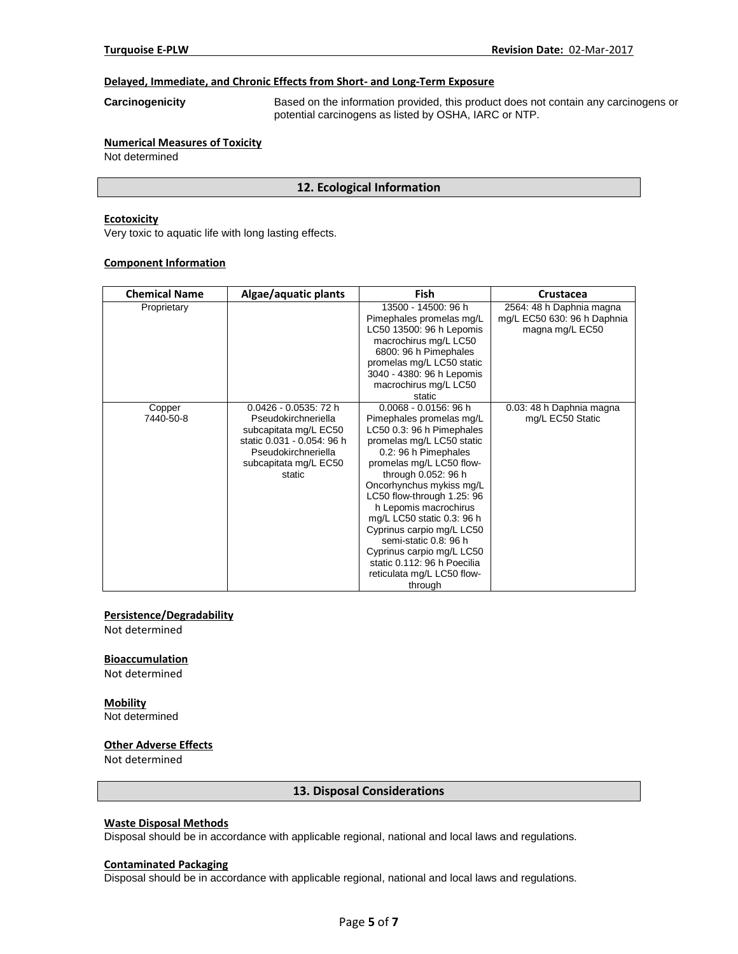## **Delayed, Immediate, and Chronic Effects from Short- and Long-Term Exposure**

**Carcinogenicity** Based on the information provided, this product does not contain any carcinogens or potential carcinogens as listed by OSHA, IARC or NTP.

#### **Numerical Measures of Toxicity** Not determined

## **12. Ecological Information**

## **Ecotoxicity**

Very toxic to aquatic life with long lasting effects.

#### **Component Information**

| <b>Chemical Name</b> | Algae/aquatic plants                                                                                                                                             | <b>Fish</b>                                                                                                                                                                                                                                                                                                                                                                                                                                                           | Crustacea                                                                  |
|----------------------|------------------------------------------------------------------------------------------------------------------------------------------------------------------|-----------------------------------------------------------------------------------------------------------------------------------------------------------------------------------------------------------------------------------------------------------------------------------------------------------------------------------------------------------------------------------------------------------------------------------------------------------------------|----------------------------------------------------------------------------|
| Proprietary          |                                                                                                                                                                  | 13500 - 14500: 96 h<br>Pimephales promelas mg/L<br>LC50 13500: 96 h Lepomis<br>macrochirus mg/L LC50<br>6800: 96 h Pimephales<br>promelas mg/L LC50 static<br>3040 - 4380: 96 h Lepomis<br>macrochirus mg/L LC50<br>static                                                                                                                                                                                                                                            | 2564: 48 h Daphnia magna<br>mg/L EC50 630: 96 h Daphnia<br>magna mg/L EC50 |
| Copper<br>7440-50-8  | $0.0426 - 0.0535$ : 72 h<br>Pseudokirchneriella<br>subcapitata mg/L EC50<br>static 0.031 - 0.054: 96 h<br>Pseudokirchneriella<br>subcapitata mg/L EC50<br>static | $0.0068 - 0.0156$ : 96 h<br>Pimephales promelas mg/L<br>LC50 0.3: 96 h Pimephales<br>promelas mg/L LC50 static<br>0.2: 96 h Pimephales<br>promelas mg/L LC50 flow-<br>through 0.052: 96 h<br>Oncorhynchus mykiss mg/L<br>LC50 flow-through 1.25: 96<br>h Lepomis macrochirus<br>mg/L LC50 static 0.3: 96 h<br>Cyprinus carpio mg/L LC50<br>semi-static 0.8: 96 h<br>Cyprinus carpio mg/L LC50<br>static 0.112: 96 h Poecilia<br>reticulata mg/L LC50 flow-<br>through | 0.03: 48 h Daphnia magna<br>mg/L EC50 Static                               |

## **Persistence/Degradability**

Not determined

## **Bioaccumulation**

Not determined

## **Mobility**

Not determined

## **Other Adverse Effects**

Not determined

#### **13. Disposal Considerations**

## **Waste Disposal Methods**

Disposal should be in accordance with applicable regional, national and local laws and regulations.

#### **Contaminated Packaging**

Disposal should be in accordance with applicable regional, national and local laws and regulations.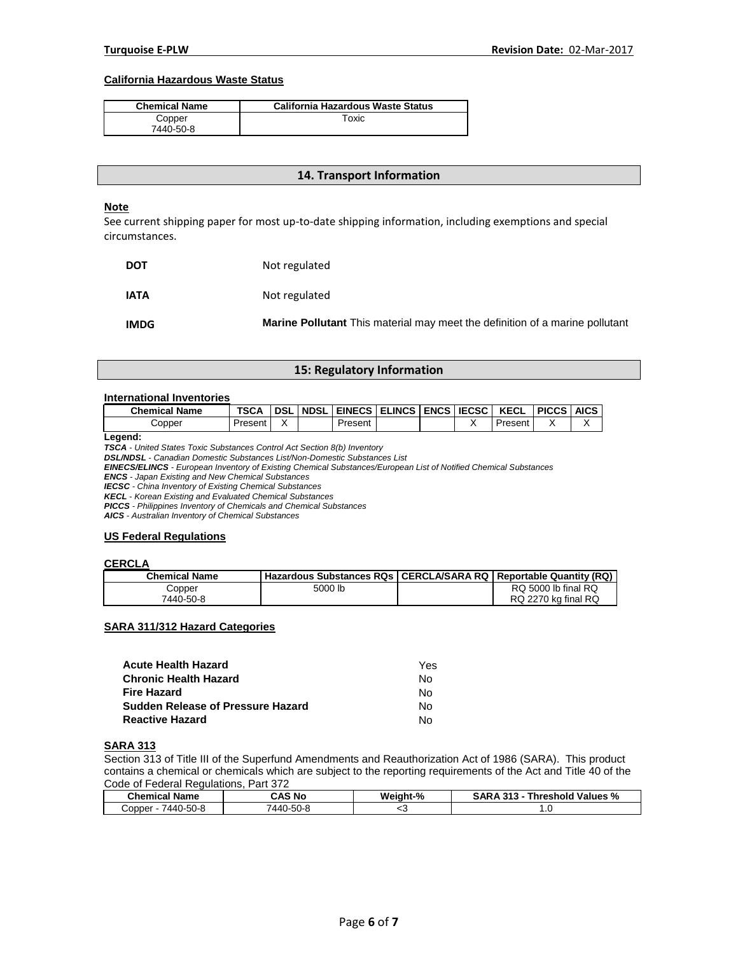## **California Hazardous Waste Status**

| <b>Chemical Name</b> | <b>California Hazardous Waste Status</b> |
|----------------------|------------------------------------------|
| Copper               | Гохіс                                    |
| 7440-50-8            |                                          |

### **14. Transport Information**

#### **Note**

See current shipping paper for most up-to-date shipping information, including exemptions and special circumstances.

| <b>DOT</b>  | Not regulated                                                                       |
|-------------|-------------------------------------------------------------------------------------|
| <b>IATA</b> | Not regulated                                                                       |
| <b>IMDG</b> | <b>Marine Pollutant</b> This material may meet the definition of a marine pollutant |

## **15: Regulatory Information**

## **International Inventories**

| <b>Chemical Name</b> | <b>TSCA</b> | <b>DSL</b> | <b>NDSL</b> | EINECS ELINCS ENCS IECSC |  | <b>KECL</b> | <b>PICCS AICS</b> |  |
|----------------------|-------------|------------|-------------|--------------------------|--|-------------|-------------------|--|
| Copper               | Present     |            |             | Present                  |  | Present     |                   |  |

**Legend:** 

*TSCA - United States Toxic Substances Control Act Section 8(b) Inventory* 

*DSL/NDSL - Canadian Domestic Substances List/Non-Domestic Substances List* 

*EINECS/ELINCS - European Inventory of Existing Chemical Substances/European List of Notified Chemical Substances* 

*ENCS - Japan Existing and New Chemical Substances* 

*IECSC - China Inventory of Existing Chemical Substances* 

*KECL - Korean Existing and Evaluated Chemical Substances* 

*PICCS - Philippines Inventory of Chemicals and Chemical Substances* 

*AICS - Australian Inventory of Chemical Substances* 

#### **US Federal Regulations**

## **CERCLA**

| <b>Chemical Name</b> | <b>Hazardous Substances RQs   CERCLA/SARA RQ   Reportable Quantity (RQ) '</b> |                     |
|----------------------|-------------------------------------------------------------------------------|---------------------|
| Copper               | 5000 lb                                                                       | RQ 5000 lb final RQ |
| 7440-50-8            |                                                                               | RQ 2270 kg final RQ |

## **SARA 311/312 Hazard Categories**

| <b>Acute Health Hazard</b>        | Yes |
|-----------------------------------|-----|
| <b>Chronic Health Hazard</b>      | N٥  |
| <b>Fire Hazard</b>                | N٥  |
| Sudden Release of Pressure Hazard | N٥  |
| <b>Reactive Hazard</b>            | N٥  |

## **SARA 313**

Section 313 of Title III of the Superfund Amendments and Reauthorization Act of 1986 (SARA). This product contains a chemical or chemicals which are subject to the reporting requirements of the Act and Title 40 of the Code of Federal Regulations, Part 372

| Chemical<br>Name    | CAS No    | Weight-% | SARA<br><b>Values</b><br><b>Threshold</b><br>242<br>%<br>. |
|---------------------|-----------|----------|------------------------------------------------------------|
| /440-50-8<br>Copper | 7440-50-8 | ՝        | $\cdot \cdot$                                              |